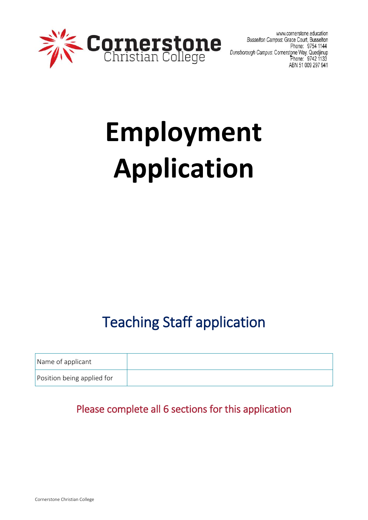

www.cornerstone.education Busselton Campus: Grace Court, Busselton Phone: 9754 1144 Dunsborough Campus: Cornerstone Way, Quedjinup<br>Dhone: 9742 1133 ABN 51 009 297 941

# **Employment Application**

# Teaching Staff application

| Name of applicant          |  |
|----------------------------|--|
| Position being applied for |  |

# Please complete all 6 sections for this application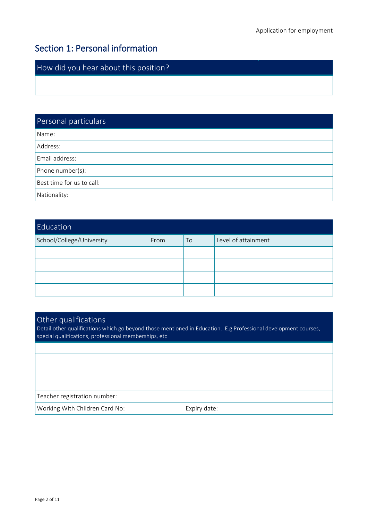# Section 1: Personal information

How did you hear about this position?

Personal particulars Name: Address: Email address: Phone number(s): Best time for us to call: Nationality:

| Education                 |      |    |                     |
|---------------------------|------|----|---------------------|
| School/College/University | From | To | Level of attainment |
|                           |      |    |                     |
|                           |      |    |                     |
|                           |      |    |                     |
|                           |      |    |                     |

#### Other qualifications

Detail other qualifications which go beyond those mentioned in Education. E.g Professional development courses, special qualifications, professional memberships, etc

# Teacher registration number:

Working With Children Card No: Expiry date: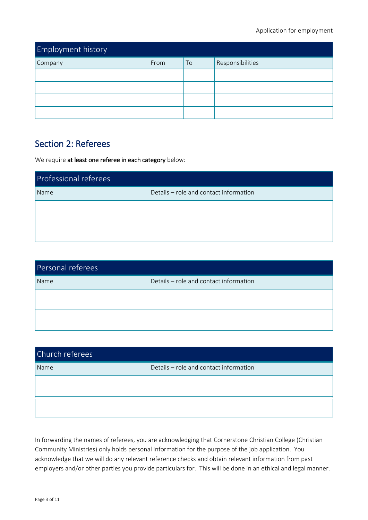| <b>Employment history</b> |      |    |                  |
|---------------------------|------|----|------------------|
| Company                   | From | To | Responsibilities |
|                           |      |    |                  |
|                           |      |    |                  |
|                           |      |    |                  |
|                           |      |    |                  |

## Section 2: Referees

We require at least one referee in each category below:

| Professional referees |                                        |  |  |
|-----------------------|----------------------------------------|--|--|
| Name                  | Details - role and contact information |  |  |
|                       |                                        |  |  |
|                       |                                        |  |  |

| Personal referees |                                        |  |  |
|-------------------|----------------------------------------|--|--|
| Name              | Details - role and contact information |  |  |
|                   |                                        |  |  |
|                   |                                        |  |  |
|                   |                                        |  |  |

| Church referees |                                        |  |  |
|-----------------|----------------------------------------|--|--|
| Name            | Details - role and contact information |  |  |
|                 |                                        |  |  |
|                 |                                        |  |  |
|                 |                                        |  |  |

In forwarding the names of referees, you are acknowledging that Cornerstone Christian College (Christian Community Ministries) only holds personal information for the purpose of the job application. You acknowledge that we will do any relevant reference checks and obtain relevant information from past employers and/or other parties you provide particulars for. This will be done in an ethical and legal manner.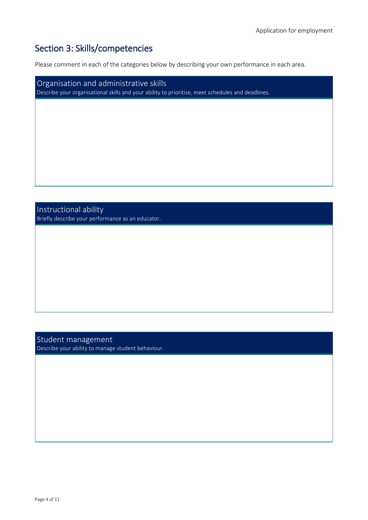# Section 3: Skills/competencies

Please comment in each of the categories below by describing your own performance in each area.

Organisation and administrative skills Describe your organisational skills and your ability to prioritise, meet schedules and deadlines.

Instructional ability Briefly describe your performance as an educator.

Student management Describe your ability to manage student behaviour.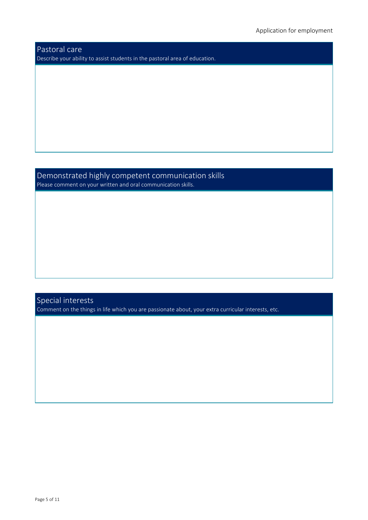Pastoral care Describe your ability to assist students in the pastoral area of education.

Demonstrated highly competent communication skills Please comment on your written and oral communication skills.

Special interests Comment on the things in life which you are passionate about, your extra curricular interests, etc.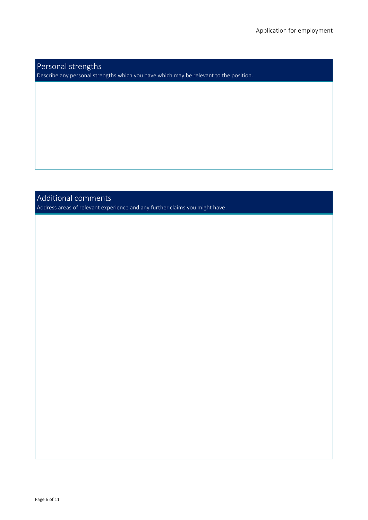#### Personal strengths Describe any personal strengths which you have which may be relevant to the position.

### Additional comments

Address areas of relevant experience and any further claims you might have.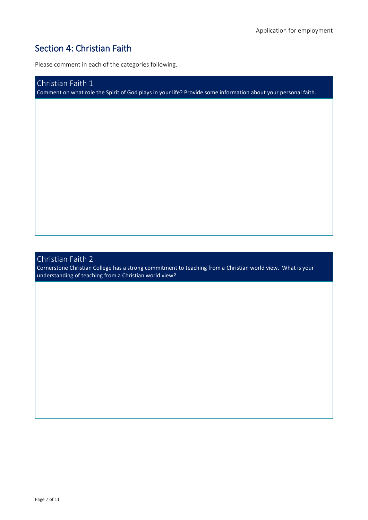# Section 4: Christian Faith

Please comment in each of the categories following.

Christian Faith 1 Comment on what role the Spirit of God plays in your life? Provide some information about your personal faith.

## Christian Faith 2

Cornerstone Christian College has a strong commitment to teaching from a Christian world view. What is your understanding of teaching from a Christian world view?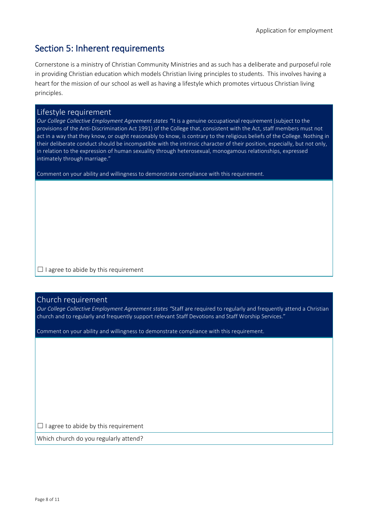# Section 5: Inherent requirements

Cornerstone is a ministry of Christian Community Ministries and as such has a deliberate and purposeful role in providing Christian education which models Christian living principles to students. This involves having a heart for the mission of our school as well as having a lifestyle which promotes virtuous Christian living principles.

#### Lifestyle requirement

*Our College Collective Employment Agreement states "*It is a genuine occupational requirement (subject to the provisions of the Anti-Discrimination Act 1991) of the College that, consistent with the Act, staff members must not act in a way that they know, or ought reasonably to know, is contrary to the religious beliefs of the College. Nothing in their deliberate conduct should be incompatible with the intrinsic character of their position, especially, but not only, in relation to the expression of human sexuality through heterosexual, monogamous relationships, expressed intimately through marriage."

Comment on your ability and willingness to demonstrate compliance with this requirement.

 $\Box$  I agree to abide by this requirement

#### Church requirement

*Our College Collective Employment Agreement states "*Staff are required to regularly and frequently attend a Christian church and to regularly and frequently support relevant Staff Devotions and Staff Worship Services."

Comment on your ability and willingness to demonstrate compliance with this requirement.

 $\Box$  I agree to abide by this requirement

Which church do you regularly attend?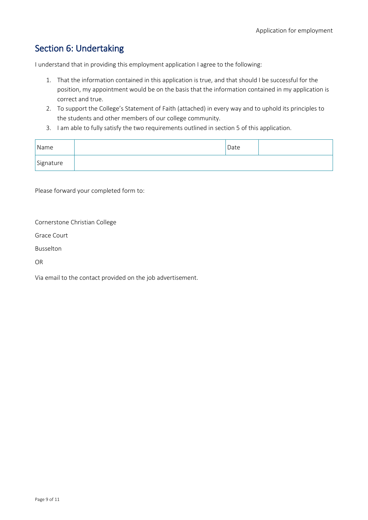# Section 6: Undertaking

I understand that in providing this employment application I agree to the following:

- 1. That the information contained in this application is true, and that should I be successful for the position, my appointment would be on the basis that the information contained in my application is correct and true.
- 2. To support the College's Statement of Faith (attached) in every way and to uphold its principles to the students and other members of our college community.
- 3. I am able to fully satisfy the two requirements outlined in section 5 of this application.

| Name      | Date |  |
|-----------|------|--|
| Signature |      |  |

Please forward your completed form to:

Cornerstone Christian College

Grace Court

Busselton

OR

Via email to the contact provided on the job advertisement.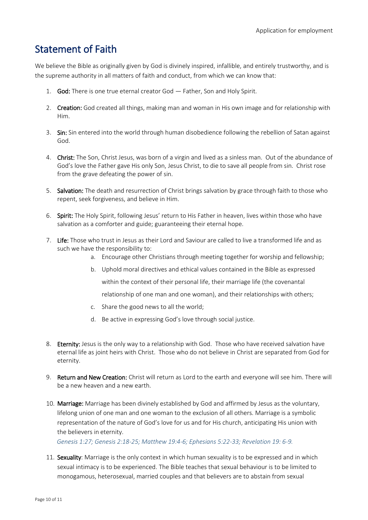# Statement of Faith

We believe the Bible as originally given by God is divinely inspired, infallible, and entirely trustworthy, and is the supreme authority in all matters of faith and conduct, from which we can know that:

- 1. God: There is one true eternal creator God Father, Son and Holy Spirit.
- 2. Creation: God created all things, making man and woman in His own image and for relationship with Him.
- 3. Sin: Sin entered into the world through human disobedience following the rebellion of Satan against God.
- 4. Christ: The Son, Christ Jesus, was born of a virgin and lived as a sinless man. Out of the abundance of God's love the Father gave His only Son, Jesus Christ, to die to save all people from sin. Christ rose from the grave defeating the power of sin.
- 5. Salvation: The death and resurrection of Christ brings salvation by grace through faith to those who repent, seek forgiveness, and believe in Him.
- 6. Spirit: The Holy Spirit, following Jesus' return to His Father in heaven, lives within those who have salvation as a comforter and guide; guaranteeing their eternal hope.
- 7. Life: Those who trust in Jesus as their Lord and Saviour are called to live a transformed life and as such we have the responsibility to:
	- a. Encourage other Christians through meeting together for worship and fellowship;
	- b. Uphold moral directives and ethical values contained in the Bible as expressed

within the context of their personal life, their marriage life (the covenantal

relationship of one man and one woman), and their relationships with others;

- c. Share the good news to all the world;
- d. Be active in expressing God's love through social justice.
- 8. Eternity: Jesus is the only way to a relationship with God. Those who have received salvation have eternal life as joint heirs with Christ. Those who do not believe in Christ are separated from God for eternity.
- 9. Return and New Creation: Christ will return as Lord to the earth and everyone will see him. There will be a new heaven and a new earth.
- 10. Marriage: Marriage has been divinely established by God and affirmed by Jesus as the voluntary, lifelong union of one man and one woman to the exclusion of all others. Marriage is a symbolic representation of the nature of God's love for us and for His church, anticipating His union with the believers in eternity.

*Genesis 1:27; Genesis 2:18-25; Matthew 19:4-6; Ephesians 5:22-33; Revelation 19: 6-9.*

11. Sexuality: Marriage is the only context in which human sexuality is to be expressed and in which sexual intimacy is to be experienced. The Bible teaches that sexual behaviour is to be limited to monogamous, heterosexual, married couples and that believers are to abstain from sexual